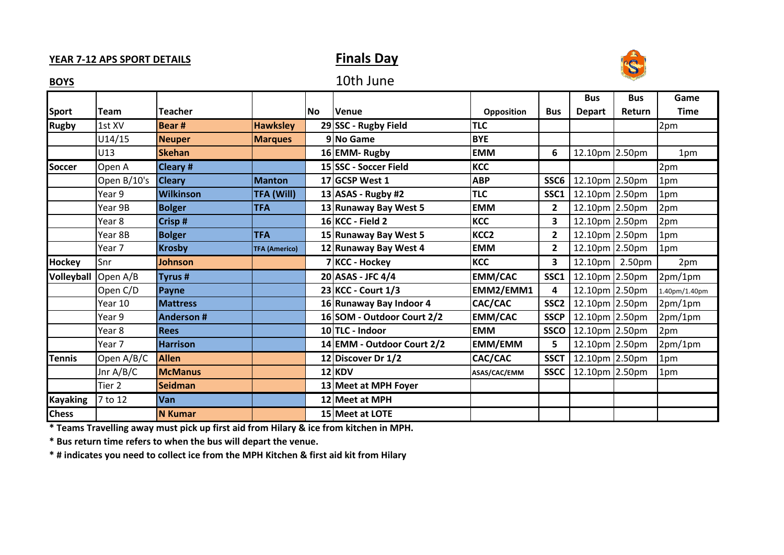### **YEAR 7-12 APS SPORT DETAILS Finals Day**



**BOYS** 10th June

## **Bus Bus Game Sport Team Teacher No Venue Opposition Bus Depart Return Time Rugby** 1st XV **Bear # Hawksley 29 SSC - Rugby Field TLC** 2pm U14/15 **Neuper Marques 9 No Game BYE** U13 **Skehan 16 EMM- Rugby EMM 6** 12.10pm 2.50pm 1pm **Soccer** Open A **Cleary # 15|SSC - Soccer Field KCC** | | | 2pm Open B/10's **Cleary Manton 17 GCSP West 1 ABP SSC6** 12.10pm 2.50pm 1pm Year 9 **Wilkinson TFA (Will) 13 ASAS - Rugby #2 TLC SSC1** 12.10pm 2.50pm 1pm Year 9B **Bolger TFA 13 Runaway Bay West 5 EMM 2** 12.10pm 2.50pm 2pm Year 8 **Crisp # 16 KCC - Field 2 KCC 3** 12.10pm 2.50pm 2pm Year 8B **Bolger TFA 15 Runaway Bay West 5 KCC2 2** 12.10pm 2.50pm 1pm Year 7 **Krosby TFA (Americo) 12 Runaway Bay West 4 EMM 2** 12.10pm 2.50pm 1pm **Hockey** Snr **Johnson 7 KCC - Hockey KCC 3** 12.10pm 2.50pm 2pm **Volleyball** Open A/B **Tyrus # 20 ASAS - JFC 4/4 EMM/CAC SSC1** 12.10pm 2.50pm 2pm/1pm Open C/D **Payne 23 KCC - Court 1/3 EMM2/EMM1 4** 12.10pm 2.50pm 1.40pm/1.40pm Year 10 **Mattress 16 Runaway Bay Indoor 4 CAC/CAC SSC2** 12.10pm 2.50pm 2pm/1pm Year 9 **Anderson # 16 SOM - Outdoor Court 2/2 EMM/CAC SSCP** 12.10pm 2.50pm 2pm/1pm Year 8 **Rees 10 TLC - Indoor EMM SSCO** 12.10pm 2.50pm 2pm Year 7 **Harrison 14 EMM - Outdoor Court 2/2 EMM/EMM 5** 12.10pm 2.50pm 2pm/1pm **Tennis** Open A/B/C **Allen 12 Discover Dr 1/2 CAC/CAC SSCT** 12.10pm 2.50pm 1pm Jnr A/B/C **McManus 12 KDV ASAS/CAC/EMM SSCC** 12.10pm 2.50pm 1pm Tier 2 **Seidman 13 Meet at MPH Foyer Kayaking** 7 to 12 **Van 12 Meet at MPH Chess N Kumar 15 Meet at LOTE**

**\* Teams Travelling away must pick up first aid from Hilary & ice from kitchen in MPH.**

**\* Bus return time refers to when the bus will depart the venue.**

**\* # indicates you need to collect ice from the MPH Kitchen & first aid kit from Hilary**